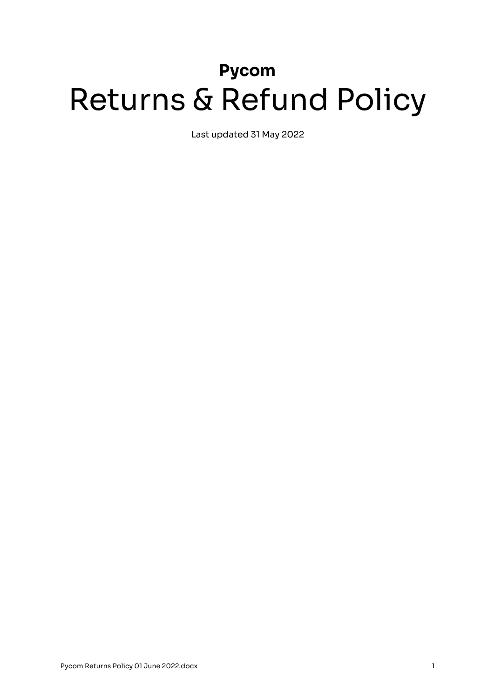# **Pycom** Returns & Refund Policy

Last updated 31 May 2022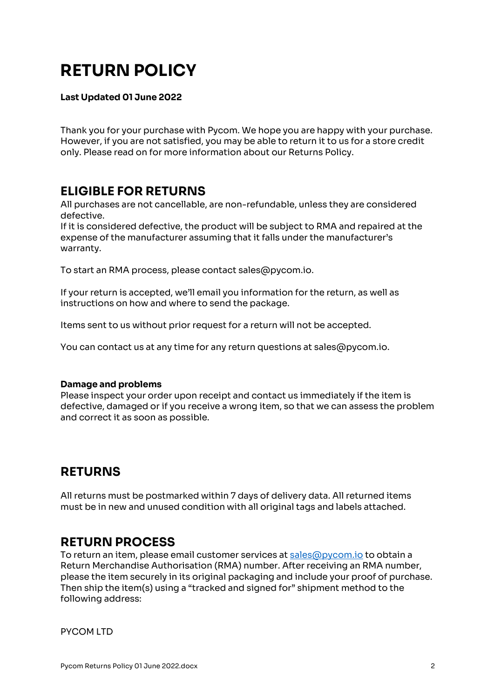# **RETURN POLICY**

#### **Last Updated 01 June 2022**

Thank you for your purchase with Pycom. We hope you are happy with your purchase. However, if you are not satisfied, you may be able to return it to us for a store credit only. Please read on for more information about our Returns Policy.

#### **ELIGIBLE FOR RETURNS**

All purchases are not cancellable, are non-refundable, unless they are considered defective.

If it is considered defective, the product will be subject to RMA and repaired at the expense of the manufacturer assuming that it falls under the manufacturer's warranty.

To start an RMA process, please contact sales@pycom.io.

If your return is accepted, we'll email you information for the return, as well as instructions on how and where to send the package.

Items sent to us without prior request for a return will not be accepted.

You can contact us at any time for any return questions at sales@pycom.io.

#### **Damage and problems**

Please inspect your order upon receipt and contact us immediately if the item is defective, damaged or if you receive a wrong item, so that we can assess the problem and correct it as soon as possible.

#### **RETURNS**

All returns must be postmarked within 7 days of delivery data. All returned items must be in new and unused condition with all original tags and labels attached.

#### **RETURN PROCESS**

To return an item, please email customer services at sales@pycom.io to obtain a Return Merchandise Authorisation (RMA) number. After receiving an RMA number, please the item securely in its original packaging and include your proof of purchase. Then ship the item(s) using a "tracked and signed for" shipment method to the following address:

PYCOM LTD